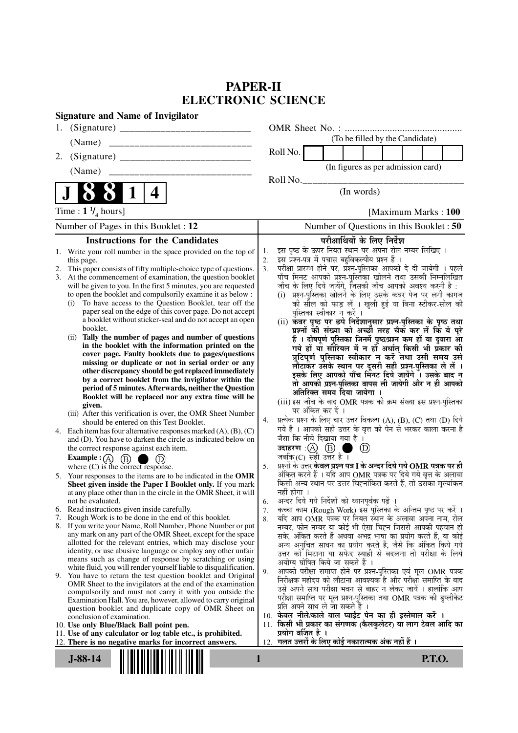# **PAPER-II ELECTRONIC SCIENCE**

|    | <b>Signature and Name of Invigilator</b>                                                                                                 |                |                                                                                                                               |                   |                            |                                    |  |                      |                                                                                                              |
|----|------------------------------------------------------------------------------------------------------------------------------------------|----------------|-------------------------------------------------------------------------------------------------------------------------------|-------------------|----------------------------|------------------------------------|--|----------------------|--------------------------------------------------------------------------------------------------------------|
| 1. |                                                                                                                                          |                |                                                                                                                               |                   |                            |                                    |  |                      |                                                                                                              |
|    | (Name)                                                                                                                                   |                |                                                                                                                               |                   |                            | (To be filled by the Candidate)    |  |                      |                                                                                                              |
| 2. |                                                                                                                                          |                | Roll No.                                                                                                                      |                   |                            |                                    |  |                      |                                                                                                              |
|    | (Name)                                                                                                                                   |                |                                                                                                                               |                   |                            | (In figures as per admission card) |  |                      |                                                                                                              |
|    |                                                                                                                                          |                | Roll No. $_{-}$                                                                                                               |                   |                            |                                    |  |                      |                                                                                                              |
|    | 4<br>1                                                                                                                                   |                |                                                                                                                               |                   | (In words)                 |                                    |  |                      |                                                                                                              |
|    | Time : $1 \frac{1}{4}$ hours]                                                                                                            |                |                                                                                                                               |                   |                            |                                    |  | [Maximum Marks: 100] |                                                                                                              |
|    | Number of Pages in this Booklet : 12                                                                                                     |                |                                                                                                                               |                   |                            |                                    |  |                      | Number of Questions in this Booklet: 50                                                                      |
|    | <b>Instructions for the Candidates</b>                                                                                                   |                |                                                                                                                               |                   |                            | परीक्षार्थियों के लिए निर्देश      |  |                      |                                                                                                              |
|    | 1. Write your roll number in the space provided on the top of                                                                            | 1.             | इस पृष्ठ के ऊपर नियत स्थान पर अपना रोल नम्बर लिखिए ।                                                                          |                   |                            |                                    |  |                      |                                                                                                              |
|    | this page.                                                                                                                               | 2.             | इस प्रश्न-पत्र में पचास बहुविकल्पीय प्रश्न हैं ।                                                                              |                   |                            |                                    |  |                      |                                                                                                              |
| 2. | This paper consists of fifty multiple-choice type of questions.                                                                          | 3 <sub>1</sub> | परीक्षा प्रारम्भ होने पर, प्रॅश्न-पुस्तिका आपको दे दी जायेगी । पहले                                                           |                   |                            |                                    |  |                      |                                                                                                              |
|    | 3. At the commencement of examination, the question booklet<br>will be given to you. In the first 5 minutes, you are requested           |                | पाँच मिनट आपको प्रश्न-पुस्तिका खोलने तथा उसकी निम्नलिखित<br>जाँच के लिए दिये जायेंगे, जिसकी जाँच आपको अवश्य करनी है :         |                   |                            |                                    |  |                      |                                                                                                              |
|    | to open the booklet and compulsorily examine it as below :                                                                               |                | (i) प्रश्न-पुस्तिका खोलने के लिए उसके कवर पेज पर लगी कागज                                                                     |                   |                            |                                    |  |                      |                                                                                                              |
|    | To have access to the Question Booklet, tear off the<br>(i)                                                                              |                |                                                                                                                               |                   |                            |                                    |  |                      | की सील को फाड़ लें । खुली हुई या बिना स्टीकर-सील की                                                          |
|    | paper seal on the edge of this cover page. Do not accept                                                                                 |                |                                                                                                                               |                   | पुस्तिका स्वीकार न करें ।  |                                    |  |                      |                                                                                                              |
|    | a booklet without sticker-seal and do not accept an open                                                                                 |                | (ii) कवर पृष्ठ पर छपे निर्देशानुसार प्रश्न-पुस्तिका के पृष्ठ तथा                                                              |                   |                            |                                    |  |                      |                                                                                                              |
|    | booklet.<br>Tally the number of pages and number of questions<br>(ii)                                                                    |                |                                                                                                                               |                   |                            |                                    |  |                      | प्रश्नों की संख्या को अच्छी तरह चैक कर लें कि ये पूरे                                                        |
|    | in the booklet with the information printed on the                                                                                       |                |                                                                                                                               |                   |                            |                                    |  |                      | हैं । दोषपूर्ण पुस्तिका जिनमें पृष्ठ/प्रश्न कम हों या दुबारा आ                                               |
|    | cover page. Faulty booklets due to pages/questions                                                                                       |                |                                                                                                                               |                   |                            |                                    |  |                      | गये हों या सीरियल में न हों अर्थात् किसी भी प्रकार की<br>त्रुटिपूर्ण पुस्तिका स्वीकार न करें तथा उसी समय उसे |
|    | missing or duplicate or not in serial order or any                                                                                       |                |                                                                                                                               |                   |                            |                                    |  |                      | लौटाकेर उसके स्थान पर दूसरी सही प्रश्न्-पुस्तिका ले लें ।                                                    |
|    | other discrepancy should be got replaced immediately                                                                                     |                |                                                                                                                               |                   |                            |                                    |  |                      | इसके लिए आपको पाँच मिनट दिये जायेंगे । उसके बाद न                                                            |
|    | by a correct booklet from the invigilator within the<br>period of 5 minutes. Afterwards, neither the Question                            |                |                                                                                                                               |                   |                            |                                    |  |                      | तो आपकी प्रश्न-पुस्तिका वापस ली जायेगी और न ही आपको                                                          |
|    | Booklet will be replaced nor any extra time will be                                                                                      |                |                                                                                                                               |                   | अतिरिक्त समय दिया जायेगा । |                                    |  |                      |                                                                                                              |
|    | given.                                                                                                                                   |                | (iii) इस जाँच के बाद OMR पत्रक की क्रम संख्या इस प्रश्न-पुस्तिका                                                              |                   |                            |                                    |  |                      |                                                                                                              |
|    | (iii) After this verification is over, the OMR Sheet Number                                                                              | 4.             | प्रत्येक प्रश्न के लिए चार उत्तर विकल्प (A), (B), (C) तथा (D) दिये                                                            | पर अंकित कर दें । |                            |                                    |  |                      |                                                                                                              |
|    | should be entered on this Test Booklet.                                                                                                  |                | गये हैं । आपको सही उत्तर के वृत्त को पेन से भरकर काला करना है                                                                 |                   |                            |                                    |  |                      |                                                                                                              |
|    | 4. Each item has four alternative responses marked $(A)$ , $(B)$ , $(C)$<br>and (D). You have to darken the circle as indicated below on |                | जैसा कि नीचे दिखाया गया है।                                                                                                   |                   |                            |                                    |  |                      |                                                                                                              |
|    | the correct response against each item.                                                                                                  |                | उदाहरण $\,$ :(A) $\,$ (B) $\,$ ।                                                                                              |                   | . .                        | (D)                                |  |                      |                                                                                                              |
|    | Example : (A) $(B)$<br>(D)<br>. .                                                                                                        |                | जबकि $(C)$ सही उत्तर है ।                                                                                                     |                   |                            |                                    |  |                      |                                                                                                              |
|    | where $(C)$ is the correct response.                                                                                                     | 5.             | प्रश्नों के उत्तर <b>केवल प्रश्न पत्र I के अन्दर दिये गये OMR पत्रक पर ही</b>                                                 |                   |                            |                                    |  |                      |                                                                                                              |
|    | 5. Your responses to the items are to be indicated in the OMR                                                                            |                | अंकित करने हैं । यदि आप OMR पत्रक पर दिये गये वृत्त के अलावा                                                                  |                   |                            |                                    |  |                      |                                                                                                              |
|    | Sheet given inside the Paper I Booklet only. If you mark<br>at any place other than in the circle in the OMR Sheet, it will              |                | किसी अन्य स्थान पर उत्तर चिह्नांकित करते हैं, तो उसका मूल्यांकन<br>नहीं होगा ।                                                |                   |                            |                                    |  |                      |                                                                                                              |
|    | not be evaluated.                                                                                                                        | 6.             | अन्दर दिये गये निर्देशों को ध्यानपूर्वक पढ़ें ।                                                                               |                   |                            |                                    |  |                      |                                                                                                              |
|    | 6. Read instructions given inside carefully.                                                                                             | 7.             | कच्चा काम (Rough Work) इस पुस्तिका के अन्तिम पृष्ठ पर करें ।                                                                  |                   |                            |                                    |  |                      |                                                                                                              |
| 7. | Rough Work is to be done in the end of this booklet.                                                                                     | 8.             | यदि आप OMR पत्रक पर नियत स्थान के अलावा अपना नाम, रोल                                                                         |                   |                            |                                    |  |                      |                                                                                                              |
|    | 8. If you write your Name, Roll Number, Phone Number or put<br>any mark on any part of the OMR Sheet, except for the space               |                | नम्बर, फोन नम्बर या कोई भी ऐसा चिह्न जिससे आपकी पहचान हो                                                                      |                   |                            |                                    |  |                      |                                                                                                              |
|    | allotted for the relevant entries, which may disclose your                                                                               |                | सके, अंकित करते हैं अथवा अभद्र भाषा का प्रयोग करते हैं, या कोई<br>अन्य अनुचित साधन का प्रयोग करते हैं, जैसे कि अंकित किये गये |                   |                            |                                    |  |                      |                                                                                                              |
|    | identity, or use abusive language or employ any other unfair                                                                             |                | उत्तर को मिटाना या सफेद स्याही से बदलना तो परीक्षा के लिये                                                                    |                   |                            |                                    |  |                      |                                                                                                              |
|    | means such as change of response by scratching or using                                                                                  |                | अयोग्य घोषित किये जा सकते हैं ।                                                                                               |                   |                            |                                    |  |                      |                                                                                                              |
|    | white fluid, you will render yourself liable to disqualification.<br>9. You have to return the test question booklet and Original        | 9.             | आपको परीक्षा समाप्त होने पर प्रश्न-पुस्तिका एवं मूल OMR पत्रक                                                                 |                   |                            |                                    |  |                      |                                                                                                              |
|    | OMR Sheet to the invigilators at the end of the examination                                                                              |                | निरीक्षक महोदय को लौटाना आवश्यक है और परीक्षा समाप्ति के बाद                                                                  |                   |                            |                                    |  |                      |                                                                                                              |
|    | compulsorily and must not carry it with you outside the                                                                                  |                | उसे अपने साथ परीक्षा भवन से बाहर न लेकर जायें । हालांकि आप                                                                    |                   |                            |                                    |  |                      |                                                                                                              |
|    | Examination Hall. You are, however, allowed to carry original                                                                            |                | परीक्षा समाप्ति पर मूल प्रश्न-पुस्तिका तथा OMR पत्रक की डुप्लीकेट<br>प्रति अपने साथ ले जा सकते हैं ।                          |                   |                            |                                    |  |                      |                                                                                                              |
|    | question booklet and duplicate copy of OMR Sheet on<br>conclusion of examination.                                                        |                | 10. केवल नीले/काले बाल प्वाईंट पेन का ही इस्तेमाल करें ।                                                                      |                   |                            |                                    |  |                      |                                                                                                              |
|    | 10. Use only Blue/Black Ball point pen.                                                                                                  |                | 11. किसी भी प्रकार का संगणक (कैलकुलेटर) या लाग टेबल आदि का                                                                    |                   |                            |                                    |  |                      |                                                                                                              |
|    | 11. Use of any calculator or log table etc., is prohibited.                                                                              |                | प्रयोग वर्जित है ।                                                                                                            |                   |                            |                                    |  |                      |                                                                                                              |
|    | 12. There is no negative marks for incorrect answers.                                                                                    | 12.            | गलत उत्तरों के लिए कोई नकारात्मक अंक नहीं हैं ।                                                                               |                   |                            |                                    |  |                      |                                                                                                              |
|    | $J-88-14$                                                                                                                                | 1              |                                                                                                                               |                   |                            |                                    |  | <b>P.T.O.</b>        |                                                                                                              |
|    |                                                                                                                                          |                |                                                                                                                               |                   |                            |                                    |  |                      |                                                                                                              |
|    |                                                                                                                                          |                |                                                                                                                               |                   |                            |                                    |  |                      |                                                                                                              |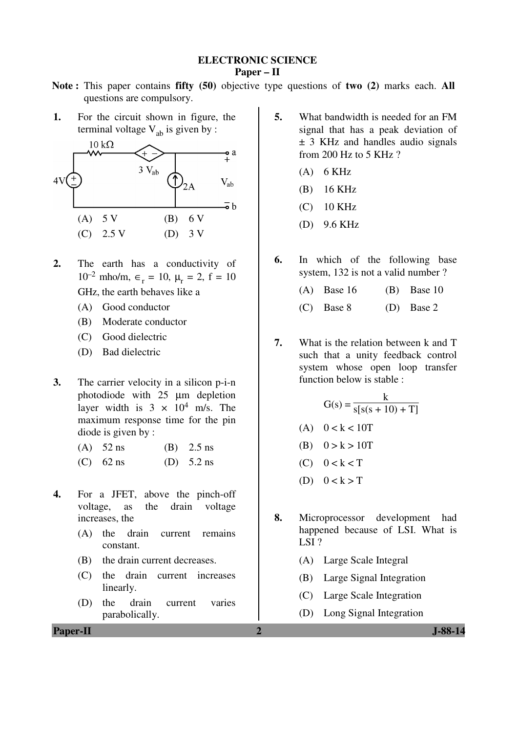### **ELECTRONIC SCIENCE**

#### **Paper – II**

- **Note :** This paper contains **fifty (50)** objective type questions of **two (2)** marks each. **All** questions are compulsory.
- **1.** For the circuit shown in figure, the terminal voltage  $V_{ab}$  is given by :



- **2.** The earth has a conductivity of  $10^{-2}$  mho/m,  $\epsilon_r = 10$ ,  $\mu_r = 2$ ,  $f = 10$ GHz, the earth behaves like a
	- (A) Good conductor
	- (B) Moderate conductor
	- (C) Good dielectric
	- (D) Bad dielectric
- **3.** The carrier velocity in a silicon p-i-n photodiode with 25 µm depletion layer width is  $3 \times 10^4$  m/s. The maximum response time for the pin diode is given by :
	- (A) 52 ns (B) 2.5 ns
	- (C)  $62 \text{ ns}$  (D)  $5.2 \text{ ns}$
- **4.** For a JFET, above the pinch-off voltage, as the drain voltage increases, the
	- (A) the drain current remains constant.
	- (B) the drain current decreases.
	- (C) the drain current increases linearly.
	- (D) the drain current varies parabolically.
- **5.** What bandwidth is needed for an FM signal that has a peak deviation of ± 3 KHz and handles audio signals from 200 Hz to 5 KHz ?
	- $(A)$  6 KHz
	- (B) 16 KHz
	- (C) 10 KHz
	- (D) 9.6 KHz
- **6.** In which of the following base system, 132 is not a valid number ?
	- (A) Base 16 (B) Base 10
	- (C) Base 8 (D) Base 2
- **7.** What is the relation between k and T such that a unity feedback control system whose open loop transfer function below is stable :

$$
G(s) = \frac{k}{s[s(s + 10) + T]}
$$
  
(A) 0 < k < 10T  
(B) 0 > k > 10T  
(C) 0 < k < T

- (D)  $0 < k > T$
- **8.** Microprocessor development had happened because of LSI. What is LSI?
	- (A) Large Scale Integral
	- (B) Large Signal Integration
	- (C) Large Scale Integration
	- (D) Long Signal Integration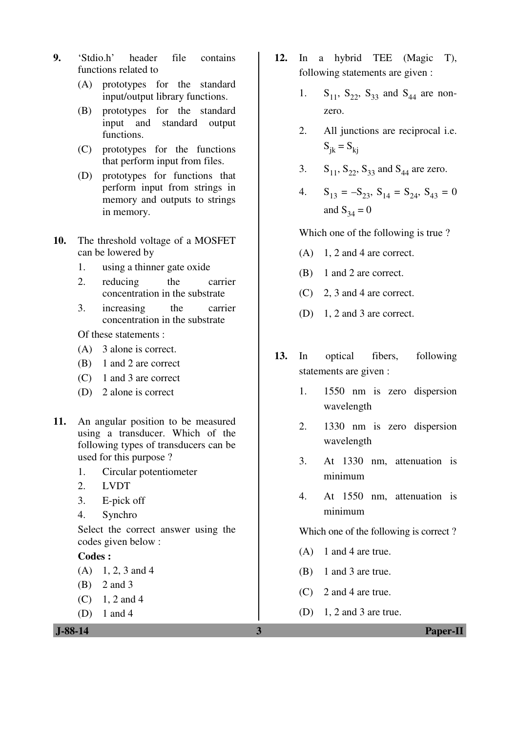- **9.** 'Stdio.h' header file contains functions related to
	- (A) prototypes for the standard input/output library functions.
	- (B) prototypes for the standard input and standard output functions.
	- (C) prototypes for the functions that perform input from files.
	- (D) prototypes for functions that perform input from strings in memory and outputs to strings in memory.
- **10.** The threshold voltage of a MOSFET can be lowered by
	- 1. using a thinner gate oxide
	- 2. reducing the carrier concentration in the substrate
	- 3. increasing the carrier concentration in the substrate

Of these statements :

- (A) 3 alone is correct.
- (B) 1 and 2 are correct
- (C) 1 and 3 are correct
- (D) 2 alone is correct
- **11.** An angular position to be measured using a transducer. Which of the following types of transducers can be used for this purpose ?
	- 1. Circular potentiometer
	- 2. LVDT
	- 3. E-pick off
	- 4. Synchro

 Select the correct answer using the codes given below :

#### **Codes :**

- $(A)$  1, 2, 3 and 4
- (B) 2 and 3
- $(C)$  1, 2 and 4
- (D) 1 and 4

- **12.** In a hybrid TEE (Magic T), following statements are given :
	- 1.  $S_{11}$ ,  $S_{22}$ ,  $S_{33}$  and  $S_{44}$  are nonzero.
	- 2. All junctions are reciprocal i.e.  $S_{ik} = S_{ki}$
	- 3.  $S_{11}$ ,  $S_{22}$ ,  $S_{33}$  and  $S_{44}$  are zero.
	- 4.  $S_{13} = -S_{23}$ ,  $S_{14} = S_{24}$ ,  $S_{43} = 0$ and  $S_{34} = 0$

Which one of the following is true ?

- $(A)$  1, 2 and 4 are correct.
- (B) 1 and 2 are correct.
- (C) 2, 3 and 4 are correct.
- (D) 1, 2 and 3 are correct.
- **13.** In optical fibers, following statements are given :
	- 1. 1550 nm is zero dispersion wavelength
	- 2. 1330 nm is zero dispersion wavelength
	- 3. At 1330 nm, attenuation is minimum
	- 4. At 1550 nm, attenuation is minimum

Which one of the following is correct ?

- (A) 1 and 4 are true.
- (B) 1 and 3 are true.
- (C) 2 and 4 are true.
- $(D)$  1, 2 and 3 are true.

 **J-88-14 3 Paper-II**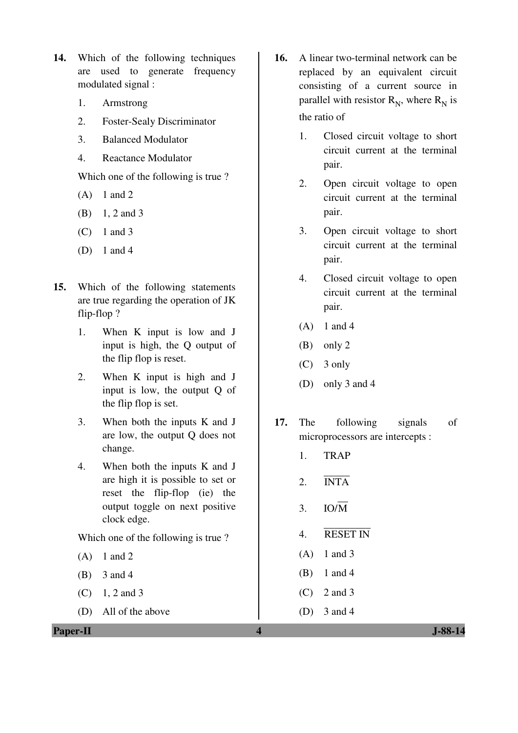- **14.** Which of the following techniques are used to generate frequency modulated signal :
	- 1. Armstrong
	- 2. Foster-Sealy Discriminator
	- 3. Balanced Modulator
	- 4. Reactance Modulator

Which one of the following is true ?

- $(A)$  1 and 2
- (B) 1, 2 and 3
- (C) 1 and 3
- (D) 1 and 4
- **15.** Which of the following statements are true regarding the operation of JK flip-flop ?
	- 1. When K input is low and J input is high, the Q output of the flip flop is reset.
	- 2. When K input is high and J input is low, the output Q of the flip flop is set.
	- 3. When both the inputs K and J are low, the output Q does not change.
	- 4. When both the inputs K and J are high it is possible to set or reset the flip-flop (ie) the output toggle on next positive clock edge.

Which one of the following is true ?

- $(A)$  1 and 2
- (B) 3 and 4
- $(C)$  1, 2 and 3
- (D) All of the above
- **16.** A linear two-terminal network can be replaced by an equivalent circuit consisting of a current source in parallel with resistor  $R_N$ , where  $R_N$  is the ratio of
	- 1. Closed circuit voltage to short circuit current at the terminal pair.
	- 2. Open circuit voltage to open circuit current at the terminal pair.
	- 3. Open circuit voltage to short circuit current at the terminal pair.
	- 4. Closed circuit voltage to open circuit current at the terminal pair.
	- $(A)$  1 and 4
	- (B) only 2
	- (C) 3 only
	- (D) only 3 and 4
- **17.** The following signals of microprocessors are intercepts :
	- 1. TRAP
	- $2. \quad \overline{\text{INTA}}$
- 3.  $IO/\overline{M}$ 
	- 4. RESET IN
	- (A) 1 and 3
	- (B) 1 and 4
	- (C) 2 and 3
	- (D) 3 and 4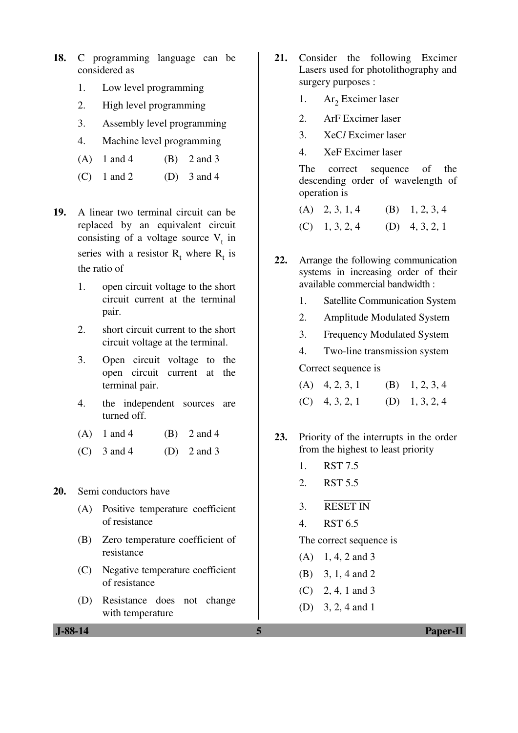- **18.** C programming language can be considered as
	- 1. Low level programming
	- 2. High level programming
	- 3. Assembly level programming
	- 4. Machine level programming
	- (A)  $1$  and  $4$  (B)  $2$  and  $3$
	- (C) 1 and 2 (D) 3 and 4
- **19.** A linear two terminal circuit can be replaced by an equivalent circuit consisting of a voltage source  $V_t$  in series with a resistor  $R_t$  where  $R_t$  is the ratio of
	- 1. open circuit voltage to the short circuit current at the terminal pair.
	- 2. short circuit current to the short circuit voltage at the terminal.
	- 3. Open circuit voltage to the open circuit current at the terminal pair.
	- 4. the independent sources are turned off.
	- (A) 1 and 4 (B) 2 and 4
	- (C)  $3 \text{ and } 4$  (D)  $2 \text{ and } 3$

**20.** Semi conductors have

- (A) Positive temperature coefficient of resistance
- (B) Zero temperature coefficient of resistance
- (C) Negative temperature coefficient of resistance
- (D) Resistance does not change with temperature
- **21.** Consider the following Excimer Lasers used for photolithography and surgery purposes :
- 1. Ar<sub>2</sub> Excimer laser
	- 2. ArF Excimer laser
	- 3. XeC*l* Excimer laser
	- 4. XeF Excimer laser

 The correct sequence of the descending order of wavelength of operation is

| $(A)$ 2, 3, 1, 4 | $(B)$ 1, 2, 3, 4 |
|------------------|------------------|
| $(C)$ 1, 3, 2, 4 | (D) $4, 3, 2, 1$ |

- **22.** Arrange the following communication systems in increasing order of their available commercial bandwidth :
	- 1. Satellite Communication System
	- 2. Amplitude Modulated System
	- 3. Frequency Modulated System
	- 4. Two-line transmission system

Correct sequence is

| $(A)$ 4, 2, 3, 1 | (B) $1, 2, 3, 4$ |
|------------------|------------------|
| $(C)$ 4, 3, 2, 1 | (D) $1, 3, 2, 4$ |

- **23.** Priority of the interrupts in the order from the highest to least priority
	- 1. RST 7.5
	- 2. RST 5.5
	- 3. RESET IN
	- 4. RST 6.5

The correct sequence is

- $(A)$  1, 4, 2 and 3
- (B) 3, 1, 4 and 2
- (C) 2, 4, 1 and 3
- (D) 3, 2, 4 and 1

 **J-88-14 5 Paper-II**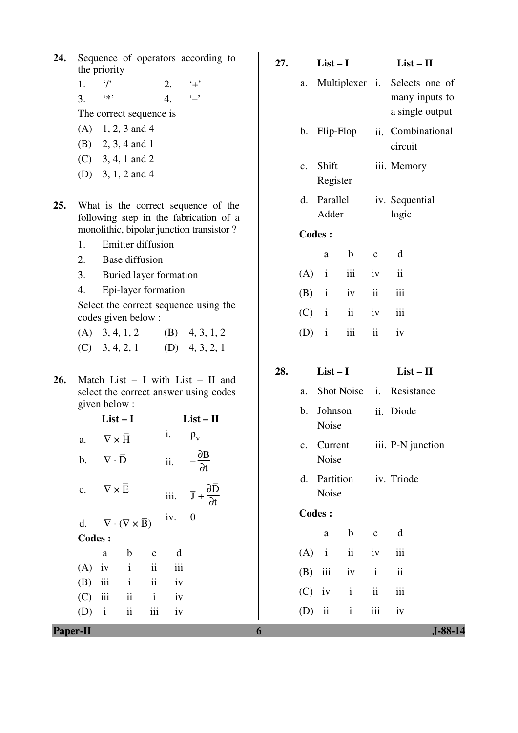| 24. Sequence of operators according to |  |  |
|----------------------------------------|--|--|
| the priority                           |  |  |

1.  $\gamma$  2.  $+$ '

3.  $**$  4.  $-$ The correct sequence is

- $(A)$  1, 2, 3 and 4
- (B) 2, 3, 4 and 1
- (C) 3, 4, 1 and 2
- (D) 3, 1, 2 and 4
- **25.** What is the correct sequence of the following step in the fabrication of a monolithic, bipolar junction transistor ?
	- 1. Emitter diffusion
	- 2. Base diffusion
	- 3. Buried layer formation
	- 4. Epi-layer formation

 Select the correct sequence using the codes given below :

- (A)  $3, 4, 1, 2$  (B)  $4, 3, 1, 2$ (C)  $3, 4, 2, 1$  (D)  $4, 3, 2, 1$
- **26.** Match List I with List II and select the correct answer using codes given below :

|               | $List-I$                            | $List-II$                                               |                          |     |                                                                |  |
|---------------|-------------------------------------|---------------------------------------------------------|--------------------------|-----|----------------------------------------------------------------|--|
| a.            | $\nabla \times \overline{H}$        |                                                         |                          | i.  | $\rho_{\rm v}$                                                 |  |
| b.            | $\nabla \cdot \mathbf{\bar{D}}$     |                                                         |                          | ii. | $-\frac{\partial B}{\partial t}$<br>$\partial t$               |  |
| c.            | $\nabla \times \overline{\text{E}}$ |                                                         |                          |     | iii. $\overline{J} + \frac{\partial \overline{D}}{\partial t}$ |  |
|               |                                     | d. $\nabla \cdot (\nabla \times \overline{\mathbf{B}})$ |                          | iv. | $\boldsymbol{0}$                                               |  |
| <b>Codes:</b> |                                     |                                                         |                          |     |                                                                |  |
|               | a                                   | $\mathbf{b}$                                            | $\mathbf c$              | d   |                                                                |  |
| $(A)$ iv      |                                     | $\mathbf{i}$                                            | $\overline{\textbf{ii}}$ | iii |                                                                |  |
| $(B)$ iii     |                                     | $\mathbf{i}$                                            | $\ddot{\rm ii}$          | iv  |                                                                |  |
| $(C)$ iii     |                                     | $\overline{\mathbf{u}}$                                 | $\mathbf{i}$             | iv  |                                                                |  |
| $(D)$ i       |                                     | $\rm ii$                                                | iii                      | iv  |                                                                |  |
|               |                                     |                                                         |                          |     |                                                                |  |

| 27. |                      | $List-I$             |                               | $List - II$   |                                                                    |  |  |  |
|-----|----------------------|----------------------|-------------------------------|---------------|--------------------------------------------------------------------|--|--|--|
|     | a.                   |                      |                               |               | Multiplexer i. Selects one of<br>many inputs to<br>a single output |  |  |  |
|     |                      |                      | b. Flip-Flop                  |               | ii. Combinational<br>circuit                                       |  |  |  |
|     |                      | c. Shift<br>Register |                               |               | iii. Memory                                                        |  |  |  |
|     | d. Parallel<br>Adder |                      |                               |               | iv. Sequential<br>logic                                            |  |  |  |
|     |                      | <b>Codes:</b>        |                               |               |                                                                    |  |  |  |
|     |                      | a                    | $\mathbf b$                   | $\mathbf c$   | d                                                                  |  |  |  |
|     | $(A)$ i              |                      | $\overrightarrow{\text{iii}}$ | iv            | $\ddot{\rm ii}$                                                    |  |  |  |
|     |                      |                      | $(B)$ i iv                    | ii            | iii                                                                |  |  |  |
|     | $(C)$ i              |                      | $\overrightarrow{\mathbf{i}}$ | iv            | iii                                                                |  |  |  |
|     | $(D)$ i              |                      | iii                           | $\mathbf{ii}$ | iv                                                                 |  |  |  |
| 28. |                      | $List-I$             |                               |               | $List - II$                                                        |  |  |  |
| a.  |                      |                      | Shot Noise <i>i</i> .         |               | Resistance                                                         |  |  |  |
|     | b.                   | Johnson<br>Noise     |                               |               | ii. Diode                                                          |  |  |  |

- c. Current Noise iii. P-N junction
- d. Partition Noise iv. Triode

## **Codes :**

|  | a b c d           |  |
|--|-------------------|--|
|  | $(A)$ i ii iv iii |  |
|  | $(B)$ iii iv i ii |  |
|  | $(C)$ iv i ii iii |  |
|  | $(D)$ ii ii ii iv |  |

**Paper-II 6 J-88-14**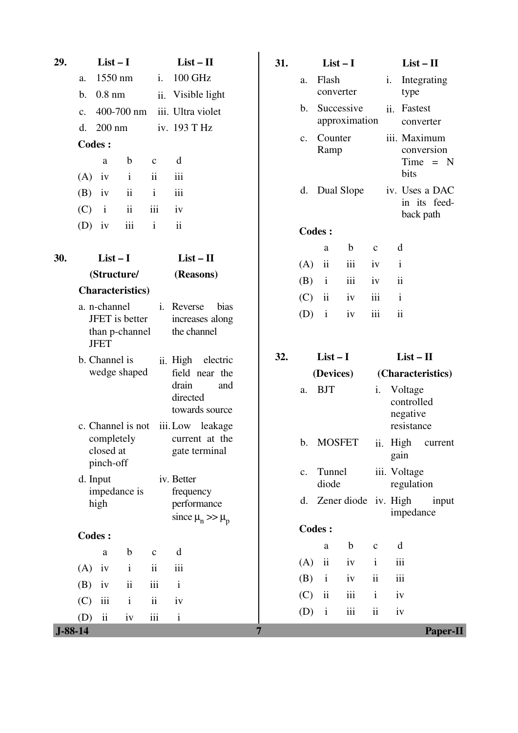| 29.           | $List-I$                                                        |                          |              | $List - II$                                                    | 31.            |                | $List-I$                |               |               |                                                 | $List - II$                    |
|---------------|-----------------------------------------------------------------|--------------------------|--------------|----------------------------------------------------------------|----------------|----------------|-------------------------|---------------|---------------|-------------------------------------------------|--------------------------------|
| a.            | 1550 nm                                                         |                          | i.           | 100 GHz                                                        |                | a.             | Flash                   |               |               | i.                                              | Integrating                    |
| $\mathbf b$ . | $0.8$ nm                                                        |                          | ii.          | Visible light                                                  |                |                | converter               |               |               | type                                            |                                |
| $C_{\bullet}$ |                                                                 | 400-700 nm               |              | iii. Ultra violet                                              |                | b.             | Successive              | approximation |               | ii.<br>Fastest                                  | converter                      |
| d.            | $200$ nm                                                        |                          |              | iv. 193 T Hz                                                   |                | $\mathbf{c}$ . | Counter                 |               |               | iii. Maximum                                    |                                |
|               | <b>Codes:</b>                                                   |                          |              |                                                                |                |                | Ramp                    |               |               |                                                 | conversion                     |
|               | a                                                               | $\mathbf b$              | $\mathbf{C}$ | d                                                              |                |                |                         |               |               | bits                                            | $Time = N$                     |
| (A)           | iv                                                              | $\mathbf{i}$             | ii           | iii                                                            |                |                |                         |               |               |                                                 |                                |
| (B)           | iv                                                              | $\overline{\textbf{ii}}$ | $\mathbf{i}$ | iii                                                            |                |                | d. Dual Slope           |               |               |                                                 | iv. Uses a DAC<br>in its feed- |
| (C)           | $\mathbf{i}$                                                    | $\overline{\textbf{ii}}$ | iii          | iv                                                             |                |                |                         |               |               |                                                 | back path                      |
| (D)           | iv                                                              | iii                      | $\mathbf{i}$ | ii                                                             |                | <b>Codes:</b>  |                         |               |               |                                                 |                                |
|               |                                                                 |                          |              |                                                                |                |                | a                       | $\mathbf b$   | $\mathbf{C}$  | d                                               |                                |
| 30.           | $List-I$                                                        |                          |              | $List - II$                                                    |                | (A)            | $\rm ii$                | iii           | iv            | $\mathbf{i}$                                    |                                |
|               | (Structure/                                                     |                          |              | (Reasons)                                                      |                | (B)            | $\mathbf{i}$            | iii           | iv            | $\mathbf{ii}$                                   |                                |
|               | <b>Characteristics</b> )                                        |                          |              |                                                                |                | (C)            | $\overline{\mathbf{u}}$ | iv            | iii           | $\mathbf{i}$                                    |                                |
|               | a. n-channel<br>JFET is better<br>than p-channel<br><b>JFET</b> |                          | i.           | Reverse<br>bias<br>increases along<br>the channel              |                | (D)            | $\,$ i                  | iv            | iii           | $\ddot{\mathbf{i}}$                             |                                |
|               | b. Channel is                                                   |                          |              | ii. High<br>electric                                           | 32.            |                | $List-I$                |               |               | $List - II$                                     |                                |
|               | wedge shaped                                                    |                          |              | field near the                                                 |                |                | (Devices)               |               |               | (Characteristics)                               |                                |
|               | c. Channel is not                                               |                          |              | drain<br>and<br>directed<br>towards source<br>iii. Low leakage |                | a.             | <b>BJT</b>              |               | i.            | Voltage<br>controlled<br>negative<br>resistance |                                |
|               | completely<br>closed at<br>pinch-off                            |                          |              | current at the<br>gate terminal                                |                | $\mathbf{b}$ . | <b>MOSFET</b>           |               |               | gain                                            | ii. High current               |
|               | d. Input<br>impedance is                                        |                          |              | iv. Better<br>frequency                                        |                | c.             | Tunnel<br>diode         |               |               | iii. Voltage<br>regulation                      |                                |
|               | high                                                            |                          |              | performance<br>since $\mu_n >> \mu_p$                          |                |                |                         |               |               | d. Zener diode iv. High<br>impedance            | input                          |
|               | <b>Codes:</b>                                                   |                          |              |                                                                |                | <b>Codes:</b>  |                         |               |               |                                                 |                                |
|               | $\mathbf{a}$                                                    | $\mathbf b$              | $\mathbf{C}$ | d                                                              |                |                | a                       | $\mathbf b$   | $\mathbf c$   | d                                               |                                |
| (A)           | iv                                                              | $\mathbf{i}$             | $\rm ii$     | iii                                                            |                | (A)            | $\rm ii$                | iv            | $\mathbf{i}$  | iii                                             |                                |
| (B)           | iv                                                              | $\rm ii$                 | iii          | $\mathbf{i}$                                                   |                | (B)            | $\mathbf{i}$            | iv            | $\rm ii$      | iii                                             |                                |
| (C)           | $\,$ iii                                                        | $\mathbf{i}$             | $\rm ii$     | iv                                                             |                | (C)            | $\rm ii$                | iii           | $\mathbf{i}$  | iv                                              |                                |
| (D)           | $\overline{\textbf{ii}}$                                        | iv                       | iii          | $\mathbf{i}$                                                   |                | (D)            | $\mathbf{i}$            | iii           | $\mathbf{ii}$ | iv                                              |                                |
| $J-88-14$     |                                                                 |                          |              |                                                                | $\overline{7}$ |                |                         |               |               |                                                 | <b>Paper-II</b>                |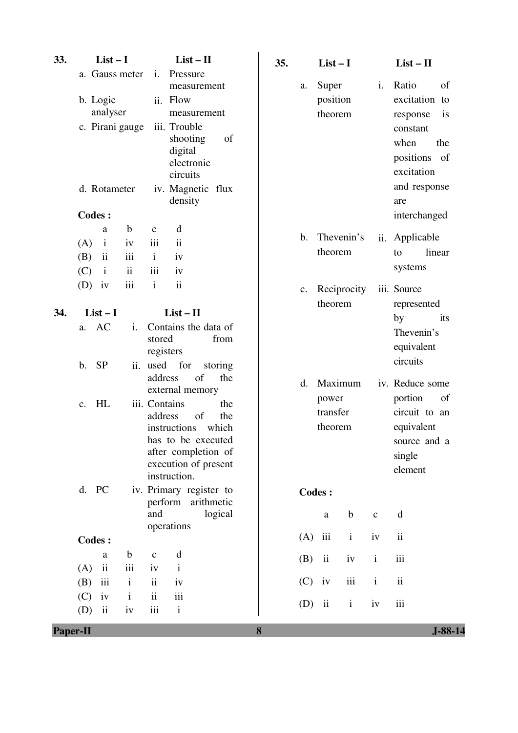| 33.      | $List-I$                                                                                   |                                                      |                                                                                                      | $List-II$                                                                                                   | 35. |     | $List-I$                                |              |                | $List - II$                                                                                                                                           |
|----------|--------------------------------------------------------------------------------------------|------------------------------------------------------|------------------------------------------------------------------------------------------------------|-------------------------------------------------------------------------------------------------------------|-----|-----|-----------------------------------------|--------------|----------------|-------------------------------------------------------------------------------------------------------------------------------------------------------|
|          | a. Gauss meter<br>b. Logic<br>analyser<br>c. Pirani gauge<br>d. Rotameter<br><b>Codes:</b> |                                                      | $\mathbf{i}$ .<br>Pressure<br>ii. Flow<br>iii. Trouble<br>shooting<br>digital<br>circuits<br>density | measurement<br>measurement<br>of<br>electronic<br>iv. Magnetic flux                                         |     | a.  | Super<br>position<br>theorem            |              | $\mathbf{i}$ . | Ratio<br>of<br>excitation to<br>response<br><i>is</i><br>constant<br>when<br>the<br>positions of<br>excitation<br>and response<br>are<br>interchanged |
|          | a<br>(A)<br>$\mathbf{i}$<br>$\overline{\textbf{ii}}$<br>(B)<br>$\mathbf{i}$<br>(C)         | $\mathbf b$<br>iv<br>iii<br>$\overline{\textbf{ii}}$ | d<br>$\mathbf{C}$<br>iii<br>$\ddot{\mathbf{i}}$<br>$\mathbf{i}$<br>iv<br>iii<br>iv                   |                                                                                                             |     | b.  | Thevenin's<br>theorem                   |              | ii.            | Applicable<br>linear<br>to<br>systems                                                                                                                 |
|          | $(D)$ iv                                                                                   | iii                                                  | $\ddot{\mathbf{i}}$<br>$\mathbf{i}$                                                                  |                                                                                                             |     | c.  | Reciprocity<br>theorem                  |              |                | iii. Source<br>represented                                                                                                                            |
| 34.      | $List-I$<br>AC<br>a.<br><b>SP</b><br>$\mathbf b$ .                                         | i.<br>ii.                                            | $List - II$<br>stored<br>registers<br>used for                                                       | Contains the data of<br>from<br>storing                                                                     |     |     |                                         |              |                | by<br>its<br>Thevenin's<br>equivalent<br>circuits                                                                                                     |
|          | HL<br>$C_{\bullet}$                                                                        |                                                      | address<br>external memory<br>iii. Contains<br>address<br>instructions<br>instruction.               | of<br>the<br>the<br>of<br>the<br>which<br>has to be executed<br>after completion of<br>execution of present |     | d.  | Maximum<br>power<br>transfer<br>theorem |              |                | iv. Reduce some<br>portion<br>of<br>circuit to an<br>equivalent<br>source and a<br>single<br>element                                                  |
|          | d. PC                                                                                      |                                                      |                                                                                                      | iv. Primary register to<br>perform arithmetic                                                               |     |     | <b>Codes:</b>                           |              |                |                                                                                                                                                       |
|          |                                                                                            |                                                      | and<br>operations                                                                                    | logical                                                                                                     |     |     | $\mathbf{a}$                            | $\mathbf b$  | $\mathbf{C}$   | d                                                                                                                                                     |
|          | <b>Codes:</b>                                                                              |                                                      |                                                                                                      |                                                                                                             |     | (A) | $\,$ iii                                | $\mathbf{i}$ | iv             | $\rm ii$                                                                                                                                              |
|          | a                                                                                          | $\mathbf b$                                          | d<br>$\mathbf c$                                                                                     |                                                                                                             |     | (B) | $\mathbf{ii}$                           | iv           | $\mathbf{i}$   | iii                                                                                                                                                   |
|          | $\rm ii$<br>(A)<br>iii<br>(B)                                                              | iii<br>$\rm i$                                       | $\mathbf{i}$<br>iv<br>$\rm ii$<br>iv                                                                 |                                                                                                             |     | (C) | iv                                      | iii          | $\rm i$        | $\rm ii$                                                                                                                                              |
|          | iv<br>(C)<br>$\rm ii$<br>(D)                                                               | $\mathbf i$<br>iv                                    | $\ddot{\mathbf{i}}$<br>$\,$ iii<br>$\rm iii$<br>$\mathbf{i}$                                         |                                                                                                             |     | (D) | $\overline{\mathbf{u}}$                 | $\rm i$      | iv             | iii                                                                                                                                                   |
| Paper-II |                                                                                            |                                                      |                                                                                                      |                                                                                                             | 8   |     |                                         |              |                | $J-88-14$                                                                                                                                             |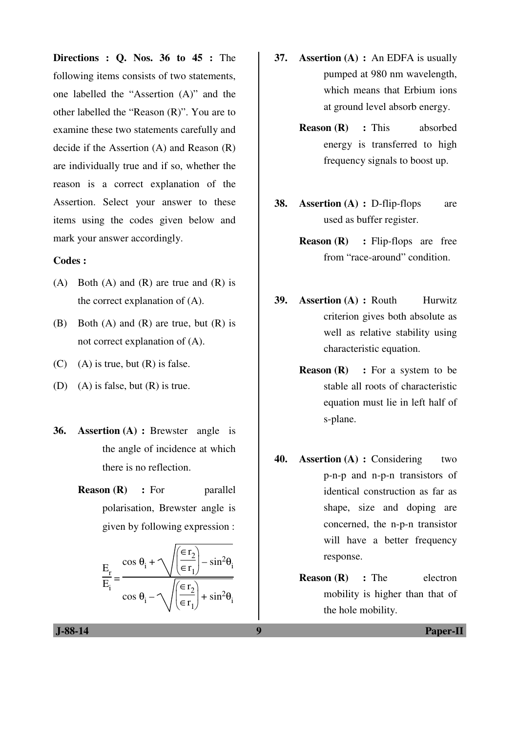**Directions : Q. Nos. 36 to 45 :** The following items consists of two statements, one labelled the "Assertion (A)" and the other labelled the "Reason (R)". You are to examine these two statements carefully and decide if the Assertion (A) and Reason (R) are individually true and if so, whether the reason is a correct explanation of the Assertion. Select your answer to these items using the codes given below and mark your answer accordingly.

#### **Codes :**

- (A) Both (A) and (R) are true and  $(R)$  is the correct explanation of (A).
- (B) Both  $(A)$  and  $(R)$  are true, but  $(R)$  is not correct explanation of (A).
- $(C)$  (A) is true, but  $(R)$  is false.
- (D) (A) is false, but (R) is true.
- **36. Assertion (A) :** Brewster angle is the angle of incidence at which there is no reflection.
	- **Reason (R)** : For parallel polarisation, Brewster angle is given by following expression :

$$
\frac{E_r}{E_i} = \frac{\cos \theta_i + \sqrt{\left(\frac{\epsilon r_2}{\epsilon r_1}\right) - \sin^2 \theta_i}}{\cos \theta_i - \sqrt{\left(\frac{\epsilon r_2}{\epsilon r_1}\right) + \sin^2 \theta_i}}
$$

- **37. Assertion (A) :** An EDFA is usually pumped at 980 nm wavelength, which means that Erbium ions at ground level absorb energy.
	- **Reason (R) :** This absorbed energy is transferred to high frequency signals to boost up.
- **38. Assertion (A) :** D-flip-flops are used as buffer register.
	- **Reason (R)** : Flip-flops are free from "race-around" condition.
- **39. Assertion (A) : Routh Hurwitz** criterion gives both absolute as well as relative stability using characteristic equation.
	- **Reason (R)** : For a system to be stable all roots of characteristic equation must lie in left half of s-plane.
- **40. Assertion (A) :** Considering two p-n-p and n-p-n transistors of identical construction as far as shape, size and doping are concerned, the n-p-n transistor will have a better frequency response.
	- **Reason (R)** : The electron mobility is higher than that of the hole mobility.

 **J-88-14 9 Paper-II**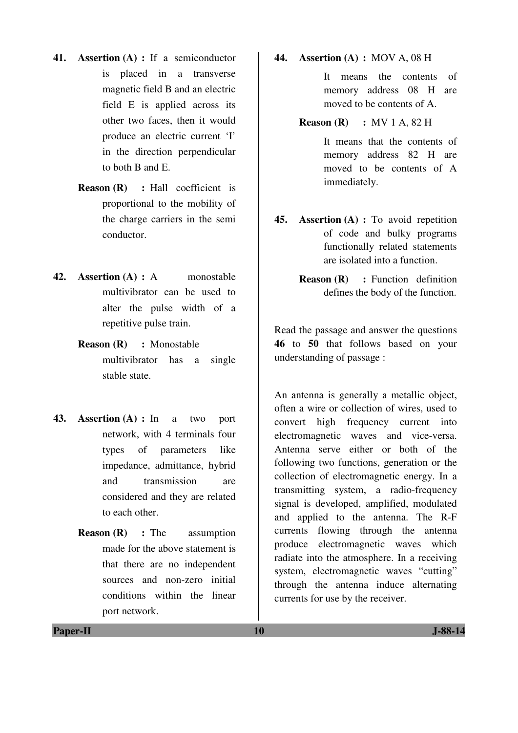- **41. Assertion (A) :** If a semiconductor is placed in a transverse magnetic field B and an electric field E is applied across its other two faces, then it would produce an electric current 'I' in the direction perpendicular to both B and E.
	- **Reason (R) :** Hall coefficient is proportional to the mobility of the charge carriers in the semi conductor.
- **42. Assertion (A) :** A monostable multivibrator can be used to alter the pulse width of a repetitive pulse train.
	- **Reason (R) :** Monostable multivibrator has a single stable state.
- **43. Assertion (A) :** In a two port network, with 4 terminals four types of parameters like impedance, admittance, hybrid and transmission are considered and they are related to each other.
	- **Reason (R)** : The assumption made for the above statement is that there are no independent sources and non-zero initial conditions within the linear port network.

**44. Assertion (A) :** MOV A, 08 H

 It means the contents of memory address 08 H are moved to be contents of A.

#### **Reason (R) :** MV 1 A, 82 H

It means that the contents of memory address 82 H are moved to be contents of A immediately.

- **45. Assertion (A) :** To avoid repetition of code and bulky programs functionally related statements are isolated into a function.
	- **Reason (R)** : Function definition defines the body of the function.

Read the passage and answer the questions **46** to **50** that follows based on your understanding of passage :

An antenna is generally a metallic object, often a wire or collection of wires, used to convert high frequency current into electromagnetic waves and vice-versa. Antenna serve either or both of the following two functions, generation or the collection of electromagnetic energy. In a transmitting system, a radio-frequency signal is developed, amplified, modulated and applied to the antenna. The R-F currents flowing through the antenna produce electromagnetic waves which radiate into the atmosphere. In a receiving system, electromagnetic waves "cutting" through the antenna induce alternating currents for use by the receiver.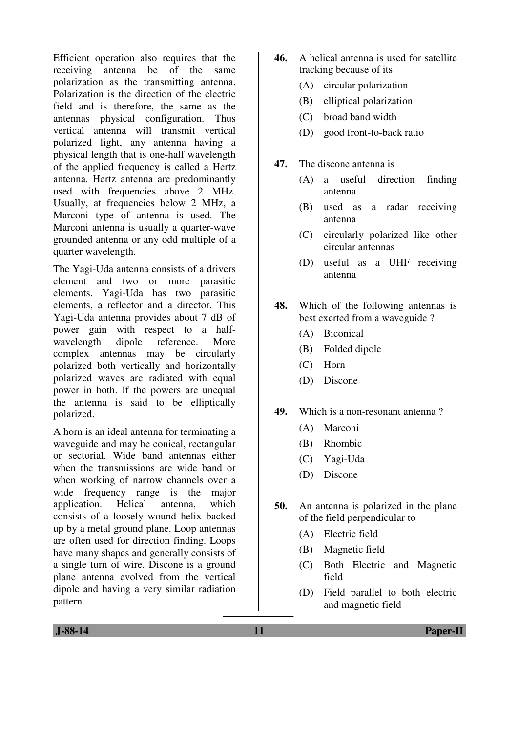Efficient operation also requires that the receiving antenna be of the same polarization as the transmitting antenna. Polarization is the direction of the electric field and is therefore, the same as the antennas physical configuration. Thus vertical antenna will transmit vertical polarized light, any antenna having a physical length that is one-half wavelength of the applied frequency is called a Hertz antenna. Hertz antenna are predominantly used with frequencies above 2 MHz. Usually, at frequencies below 2 MHz, a Marconi type of antenna is used. The Marconi antenna is usually a quarter-wave grounded antenna or any odd multiple of a quarter wavelength.

The Yagi-Uda antenna consists of a drivers element and two or more parasitic elements. Yagi-Uda has two parasitic elements, a reflector and a director. This Yagi-Uda antenna provides about 7 dB of power gain with respect to a halfwavelength dipole reference. More complex antennas may be circularly polarized both vertically and horizontally polarized waves are radiated with equal power in both. If the powers are unequal the antenna is said to be elliptically polarized.

A horn is an ideal antenna for terminating a waveguide and may be conical, rectangular or sectorial. Wide band antennas either when the transmissions are wide band or when working of narrow channels over a wide frequency range is the major application. Helical antenna, which consists of a loosely wound helix backed up by a metal ground plane. Loop antennas are often used for direction finding. Loops have many shapes and generally consists of a single turn of wire. Discone is a ground plane antenna evolved from the vertical dipole and having a very similar radiation pattern.

- **46.** A helical antenna is used for satellite tracking because of its
	- (A) circular polarization
	- (B) elliptical polarization
	- (C) broad band width
	- (D) good front-to-back ratio
- **47.** The discone antenna is
	- (A) a useful direction finding antenna
	- (B) used as a radar receiving antenna
	- (C) circularly polarized like other circular antennas
	- (D) useful as a UHF receiving antenna
- **48.** Which of the following antennas is best exerted from a waveguide ?
	- (A) Biconical
	- (B) Folded dipole
	- (C) Horn
	- (D) Discone
- **49.** Which is a non-resonant antenna ?
	- (A) Marconi
	- (B) Rhombic
	- (C) Yagi-Uda
	- (D) Discone
- **50.** An antenna is polarized in the plane of the field perpendicular to
	- (A) Electric field
	- (B) Magnetic field
	- (C) Both Electric and Magnetic field
	- (D) Field parallel to both electric and magnetic field